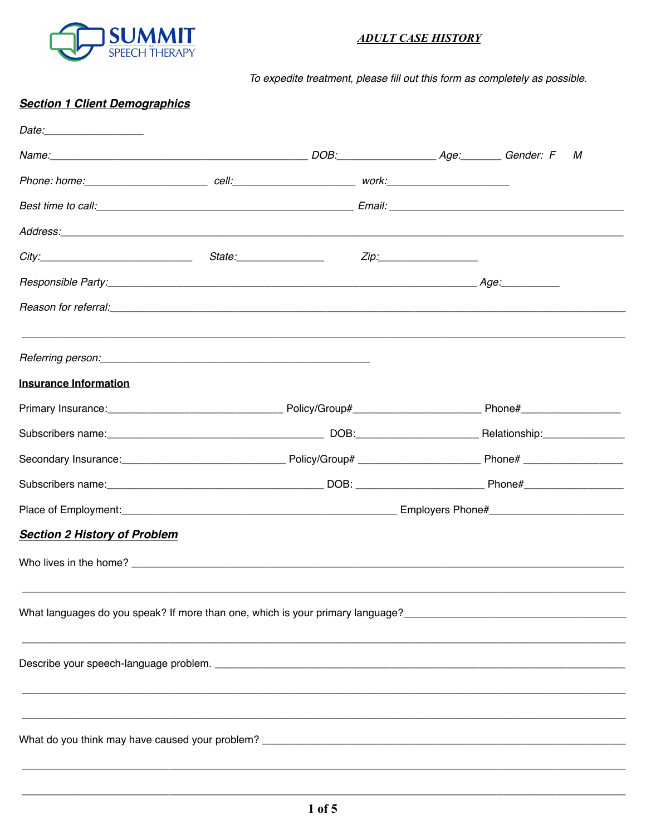

## **ADULT CASE HISTORY**

To expedite treatment, please fill out this form as completely as possible.

## **Section 1 Client Demographics**

|                                                                                                                                                                                                                                |                         | М                                                                                                                                                                     |  |
|--------------------------------------------------------------------------------------------------------------------------------------------------------------------------------------------------------------------------------|-------------------------|-----------------------------------------------------------------------------------------------------------------------------------------------------------------------|--|
|                                                                                                                                                                                                                                |                         |                                                                                                                                                                       |  |
|                                                                                                                                                                                                                                |                         |                                                                                                                                                                       |  |
|                                                                                                                                                                                                                                |                         |                                                                                                                                                                       |  |
|                                                                                                                                                                                                                                | State:_________________ |                                                                                                                                                                       |  |
|                                                                                                                                                                                                                                |                         |                                                                                                                                                                       |  |
|                                                                                                                                                                                                                                |                         |                                                                                                                                                                       |  |
|                                                                                                                                                                                                                                |                         |                                                                                                                                                                       |  |
| <b>Insurance Information</b>                                                                                                                                                                                                   |                         |                                                                                                                                                                       |  |
|                                                                                                                                                                                                                                |                         |                                                                                                                                                                       |  |
|                                                                                                                                                                                                                                |                         | Subscribers name: <u>Conserversion Communications</u> DOB: Communications Communicationship:                                                                          |  |
|                                                                                                                                                                                                                                |                         |                                                                                                                                                                       |  |
|                                                                                                                                                                                                                                |                         |                                                                                                                                                                       |  |
|                                                                                                                                                                                                                                |                         |                                                                                                                                                                       |  |
| <b>Section 2 History of Problem</b>                                                                                                                                                                                            |                         |                                                                                                                                                                       |  |
| Who lives in the home? The contract of the state of the state of the state of the state of the state of the state of the state of the state of the state of the state of the state of the state of the state of the state of t |                         |                                                                                                                                                                       |  |
|                                                                                                                                                                                                                                |                         | What languages do you speak? If more than one, which is your primary language?<br>What languages do you speak? If more than one, which is your primary language?<br>1 |  |
|                                                                                                                                                                                                                                |                         |                                                                                                                                                                       |  |
|                                                                                                                                                                                                                                |                         | ,我们就会在这里的人,我们就会在这里的人,我们就会在这里的人,我们就会在这里的人,我们就会在这里的人,我们就会在这里的人,我们就会在这里的人,我们就会在这里,我<br>第251章 我们的人,我们就会在这里的人,我们就会在这里的人,我们就会在这里的人,我们就会在这里的人,我们就会在这里的人,我们就会在这里的人,我们就会在这里,我  |  |
|                                                                                                                                                                                                                                |                         |                                                                                                                                                                       |  |
|                                                                                                                                                                                                                                |                         |                                                                                                                                                                       |  |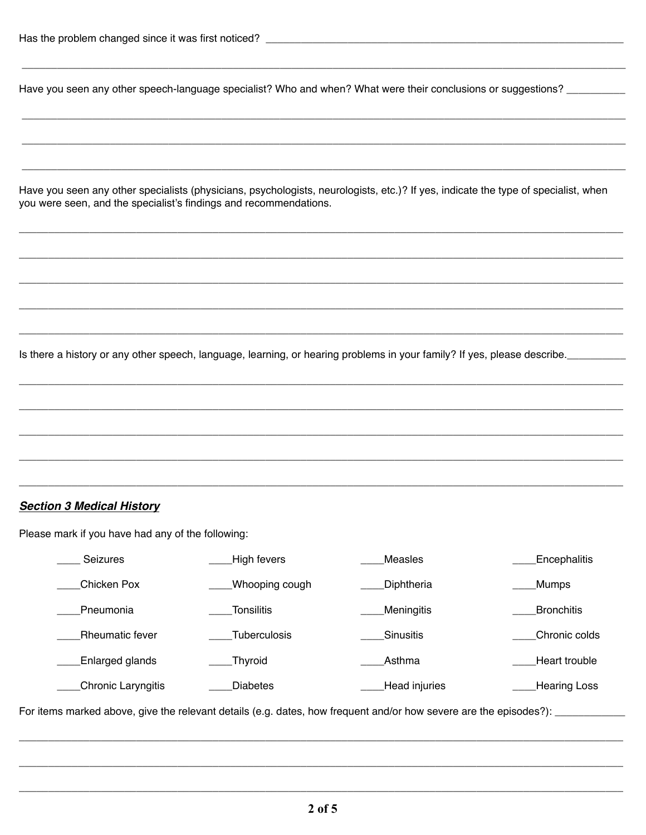Have you seen any other speech-language specialist? Who and when? What were their conclusions or suggestions?

Have you seen any other specialists (physicians, psychologists, neurologists, etc.)? If yes, indicate the type of specialist, when you were seen, and the specialist's findings and recommendations.

Is there a history or any other speech, language, learning, or hearing problems in your family? If yes, please describe.

## **Section 3 Medical History**

Please mark if you have had any of the following:

| <b>Seizures</b>        | High fevers         | Measles       | <b>Encephalitis</b> |
|------------------------|---------------------|---------------|---------------------|
| Chicken Pox            | Whooping cough      | Diphtheria    | <b>Mumps</b>        |
| Pneumonia              | <b>Tonsilitis</b>   | Meningitis    | <b>Bronchitis</b>   |
| <b>Rheumatic fever</b> | <b>Tuberculosis</b> | Sinusitis     | Chronic colds       |
| Enlarged glands        | Thyroid             | Asthma        | Heart trouble       |
| Chronic Laryngitis     | <b>Diabetes</b>     | Head injuries | <b>Hearing Loss</b> |

For items marked above, give the relevant details (e.g. dates, how frequent and/or how severe are the episodes?): \_\_\_\_\_\_\_\_\_\_\_\_\_\_\_\_\_\_\_\_\_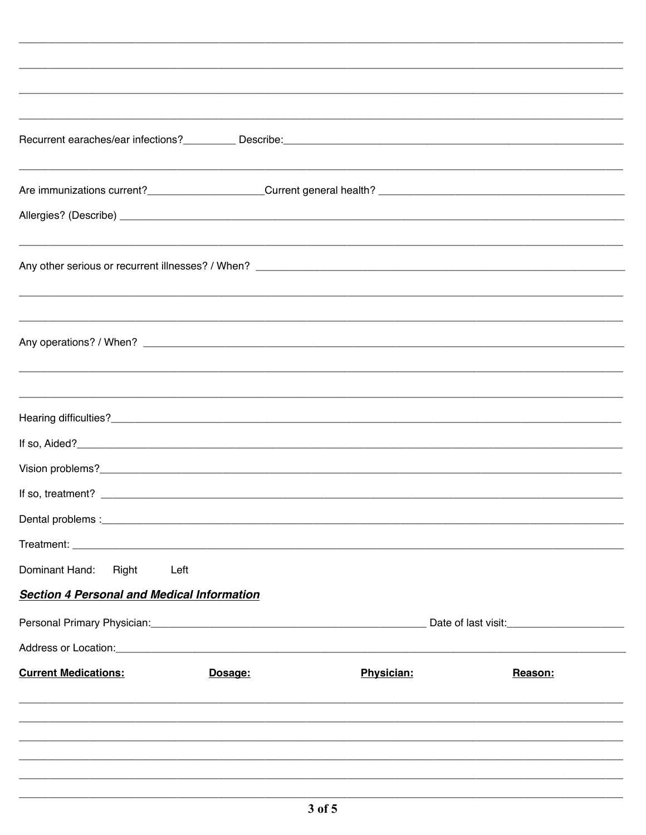| Dominant Hand: Right                                                                                           | Left |                                                   |  |
|----------------------------------------------------------------------------------------------------------------|------|---------------------------------------------------|--|
| <b>Section 4 Personal and Medical Information</b>                                                              |      |                                                   |  |
| Personal Primary Physician: Change and Changes and Changes and Changes and Changes and Changes and Changes and |      | Date of last visit:<br><u>Date of last visit:</u> |  |
|                                                                                                                |      |                                                   |  |
|                                                                                                                |      |                                                   |  |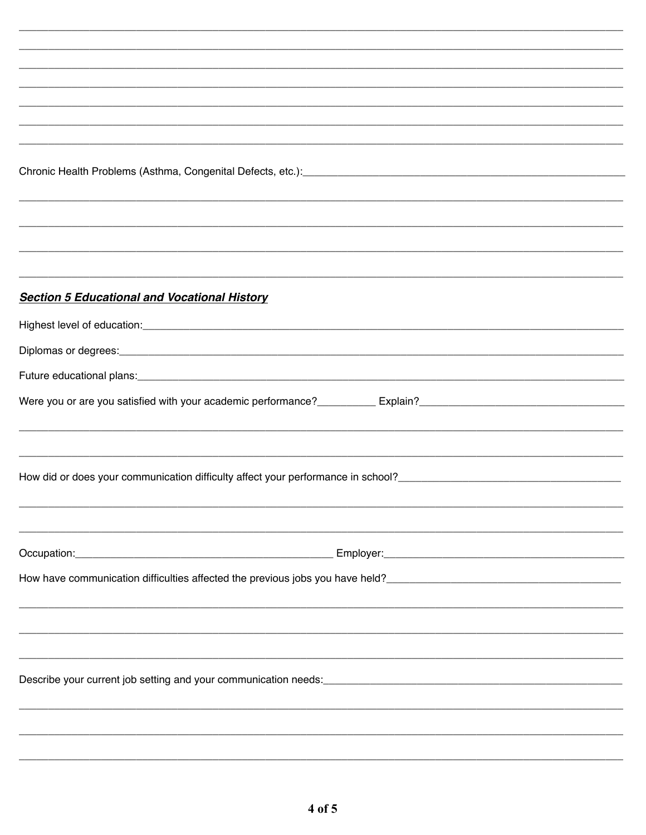| Chronic Health Problems (Asthma, Congenital Defects, etc.): [2010] [2010] [2010] [2010] [2010] [2010] [2010] [                                                      |  |  |  |  |
|---------------------------------------------------------------------------------------------------------------------------------------------------------------------|--|--|--|--|
|                                                                                                                                                                     |  |  |  |  |
|                                                                                                                                                                     |  |  |  |  |
|                                                                                                                                                                     |  |  |  |  |
|                                                                                                                                                                     |  |  |  |  |
| <b>Section 5 Educational and Vocational History</b>                                                                                                                 |  |  |  |  |
|                                                                                                                                                                     |  |  |  |  |
|                                                                                                                                                                     |  |  |  |  |
|                                                                                                                                                                     |  |  |  |  |
|                                                                                                                                                                     |  |  |  |  |
|                                                                                                                                                                     |  |  |  |  |
|                                                                                                                                                                     |  |  |  |  |
| <u> 1989 - Johann Stoff, deutscher Stoff, der Stoff, der Stoff, der Stoff, der Stoff, der Stoff, der Stoff, der S</u>                                               |  |  |  |  |
|                                                                                                                                                                     |  |  |  |  |
|                                                                                                                                                                     |  |  |  |  |
|                                                                                                                                                                     |  |  |  |  |
|                                                                                                                                                                     |  |  |  |  |
|                                                                                                                                                                     |  |  |  |  |
| How have communication difficulties affected the previous jobs you have held?<br>How have communication difficulties affected the previous jobs you have held?<br>1 |  |  |  |  |
|                                                                                                                                                                     |  |  |  |  |
|                                                                                                                                                                     |  |  |  |  |
|                                                                                                                                                                     |  |  |  |  |
|                                                                                                                                                                     |  |  |  |  |
|                                                                                                                                                                     |  |  |  |  |
|                                                                                                                                                                     |  |  |  |  |
|                                                                                                                                                                     |  |  |  |  |
|                                                                                                                                                                     |  |  |  |  |
|                                                                                                                                                                     |  |  |  |  |